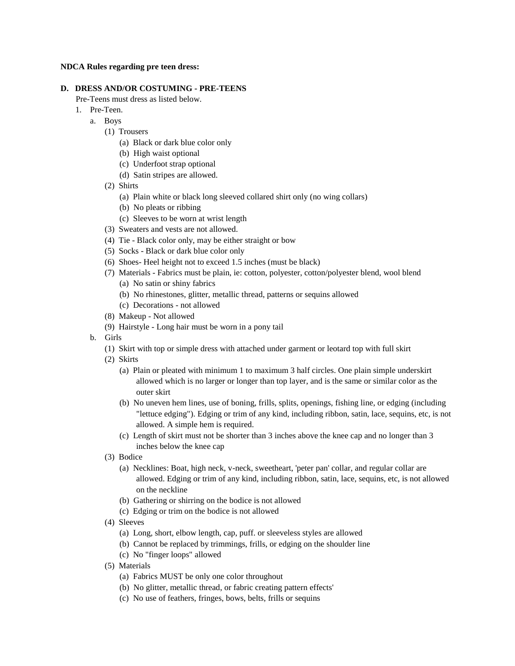#### **NDCA Rules regarding pre teen dress:**

### **D. DRESS AND/OR COSTUMING - PRE-TEENS**

Pre-Teens must dress as listed below.

- 1. Pre-Teen.
	- a. Boys
		- (1) Trousers
			- (a) Black or dark blue color only
			- (b) High waist optional
			- (c) Underfoot strap optional
			- (d) Satin stripes are allowed.
		- (2) Shirts
			- (a) Plain white or black long sleeved collared shirt only (no wing collars)
			- (b) No pleats or ribbing
			- (c) Sleeves to be worn at wrist length
		- (3) Sweaters and vests are not allowed.
		- (4) Tie Black color only, may be either straight or bow
		- (5) Socks Black or dark blue color only
		- (6) Shoes- Heel height not to exceed 1.5 inches (must be black)
		- (7) Materials Fabrics must be plain, ie: cotton, polyester, cotton/polyester blend, wool blend
			- (a) No satin or shiny fabrics
			- (b) No rhinestones, glitter, metallic thread, patterns or sequins allowed
			- (c) Decorations not allowed
		- (8) Makeup Not allowed
		- (9) Hairstyle Long hair must be worn in a pony tail
	- b. Girls
		- (1) Skirt with top or simple dress with attached under garment or leotard top with full skirt
		- (2) Skirts
			- (a) Plain or pleated with minimum 1 to maximum 3 half circles. One plain simple underskirt allowed which is no larger or longer than top layer, and is the same or similar color as the outer skirt
			- (b) No uneven hem lines, use of boning, frills, splits, openings, fishing line, or edging (including "lettuce edging"). Edging or trim of any kind, including ribbon, satin, lace, sequins, etc, is not allowed. A simple hem is required.
			- (c) Length of skirt must not be shorter than 3 inches above the knee cap and no longer than 3 inches below the knee cap
		- (3) Bodice
			- (a) Necklines: Boat, high neck, v-neck, sweetheart, 'peter pan' collar, and regular collar are allowed. Edging or trim of any kind, including ribbon, satin, lace, sequins, etc, is not allowed on the neckline
			- (b) Gathering or shirring on the bodice is not allowed
			- (c) Edging or trim on the bodice is not allowed
		- (4) Sleeves
			- (a) Long, short, elbow length, cap, puff. or sleeveless styles are allowed
			- (b) Cannot be replaced by trimmings, frills, or edging on the shoulder line
			- (c) No "finger loops" allowed
		- (5) Materials
			- (a) Fabrics MUST be only one color throughout
			- (b) No glitter, metallic thread, or fabric creating pattern effects'
			- (c) No use of feathers, fringes, bows, belts, frills or sequins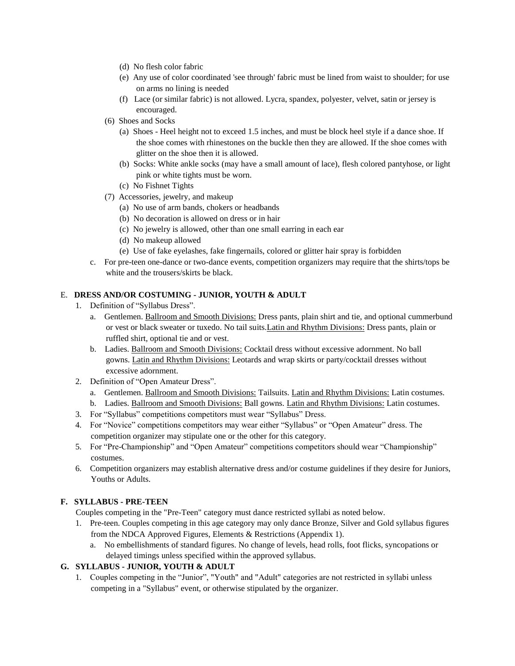- (d) No flesh color fabric
- (e) Any use of color coordinated 'see through' fabric must be lined from waist to shoulder; for use on arms no lining is needed
- (f) Lace (or similar fabric) is not allowed. Lycra, spandex, polyester, velvet, satin or jersey is encouraged.
- (6) Shoes and Socks
	- (a) Shoes Heel height not to exceed 1.5 inches, and must be block heel style if a dance shoe. If the shoe comes with rhinestones on the buckle then they are allowed. If the shoe comes with glitter on the shoe then it is allowed.
	- (b) Socks: White ankle socks (may have a small amount of lace), flesh colored pantyhose, or light pink or white tights must be worn.
	- (c) No Fishnet Tights
- (7) Accessories, jewelry, and makeup
	- (a) No use of arm bands, chokers or headbands
	- (b) No decoration is allowed on dress or in hair
	- (c) No jewelry is allowed, other than one small earring in each ear
	- (d) No makeup allowed
	- (e) Use of fake eyelashes, fake fingernails, colored or glitter hair spray is forbidden
- c. For pre-teen one-dance or two-dance events, competition organizers may require that the shirts/tops be white and the trousers/skirts be black.

# E. **DRESS AND/OR COSTUMING - JUNIOR, YOUTH & ADULT**

- 1. Definition of "Syllabus Dress".
	- a. Gentlemen. Ballroom and Smooth Divisions: Dress pants, plain shirt and tie, and optional cummerbund or vest or black sweater or tuxedo. No tail suits.Latin and Rhythm Divisions: Dress pants, plain or ruffled shirt, optional tie and or vest.
	- b. Ladies. Ballroom and Smooth Divisions: Cocktail dress without excessive adornment. No ball gowns. Latin and Rhythm Divisions: Leotards and wrap skirts or party/cocktail dresses without excessive adornment.
- 2. Definition of "Open Amateur Dress".
	- a. Gentlemen. Ballroom and Smooth Divisions: Tailsuits. Latin and Rhythm Divisions: Latin costumes.
	- b. Ladies. Ballroom and Smooth Divisions: Ball gowns. Latin and Rhythm Divisions: Latin costumes.
- 3. For "Syllabus" competitions competitors must wear "Syllabus" Dress.
- 4. For "Novice" competitions competitors may wear either "Syllabus" or "Open Amateur" dress. The competition organizer may stipulate one or the other for this category.
- 5. For "Pre-Championship" and "Open Amateur" competitions competitors should wear "Championship" costumes.
- 6. Competition organizers may establish alternative dress and/or costume guidelines if they desire for Juniors, Youths or Adults.

# **F. SYLLABUS - PRE-TEEN**

Couples competing in the "Pre-Teen" category must dance restricted syllabi as noted below.

- 1. Pre-teen. Couples competing in this age category may only dance Bronze, Silver and Gold syllabus figures from the NDCA Approved Figures, Elements & Restrictions (Appendix 1).
	- a. No embellishments of standard figures. No change of levels, head rolls, foot flicks, syncopations or delayed timings unless specified within the approved syllabus.

# **G. SYLLABUS - JUNIOR, YOUTH & ADULT**

 1. Couples competing in the "Junior", "Youth" and "Adult" categories are not restricted in syllabi unless competing in a "Syllabus" event, or otherwise stipulated by the organizer.